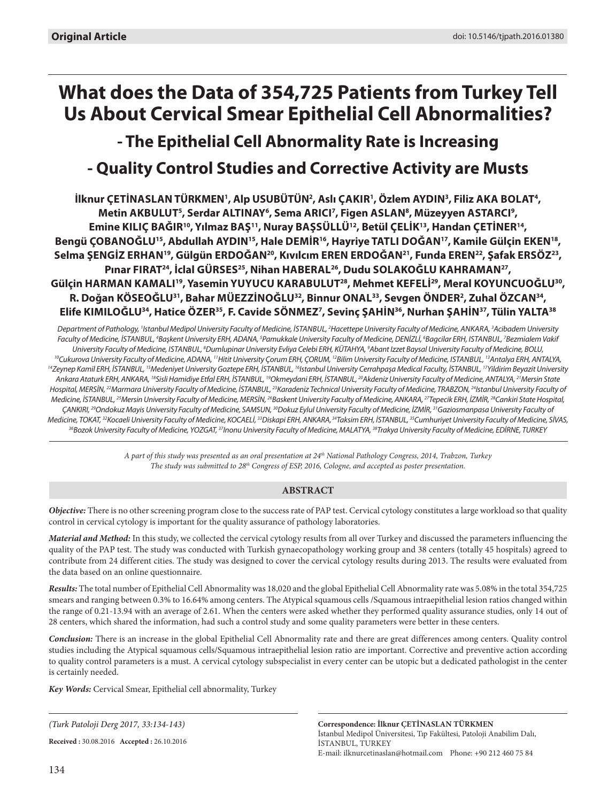# **What does the Data of 354,725 Patients from Turkey Tell Us About Cervical Smear Epithelial Cell Abnormalities?**

# **- The Epithelial Cell Abnormality Rate is Increasing - Quality Control Studies and Corrective Activity are Musts**

İlknur ÇETİNASLAN TÜRKMEN', Alp USUBÜTÜN<del>'</del>, Aslı ÇAKIR', Özlem AYDIN<sup>3</sup>, Filiz AKA BOLAT<del>'</del>, Metin AKBULUT<sup>5</sup>, Serdar ALTINAY<sup>6</sup>, Sema ARICI<sup>7</sup>, Figen ASLAN<sup>8</sup>, Müzeyyen ASTARCI<sup>9</sup>, Emine KILIÇ BAĞIR<sup>10</sup>, Yılmaz BAŞ<sup>11</sup>, Nuray BAŞSÜLLÜ<sup>12</sup>, Betül ÇELİK<sup>13</sup>, Handan ÇETİNER<sup>14</sup>, Bengü ÇOBANOĞLU<sup>15</sup>, Abdullah AYDIN<sup>15</sup>, Hale DEMİR<sup>16</sup>, Hayriye TATLI DOĞAN<sup>17</sup>, Kamile Gülçin EKEN<sup>18</sup>, Selma ŞENGİZ ERHAN<sup>19</sup>, Gülgün ERDOĞAN<sup>20</sup>, Kıvılcım EREN ERDOĞAN<sup>21</sup>, Funda EREN<sup>22</sup>, Şafak ERSÖZ<sup>23</sup>, Pınar FIRAT<sup>24</sup>, İclal GÜRSES<sup>25</sup>, Nihan HABERAL<sup>26</sup>, Dudu SOLAKOĞLU KAHRAMAN<sup>27</sup>, Gülçin HARMAN KAMALI'<sup>9</sup>, Yasemin YUYUCU KARABULUT<sup>28</sup>, Mehmet KEFELİ<sup>29</sup>, Meral KOYUNCUOĞLU<sup>30</sup>, **R. Doğan KÖseoĞlu31, Bahar MÜezzinoĞlu32, Binnur Onal33, Sevgen Önder2 , Zuhal Özcan34, Elife KImIloğlu34, Hatice Özer35, F. Cavide SÖnmez7 , Sevinç Şahin36, Nurhan Şahin37, Tülin Yalta38**

*Department of Pathology, 1 Istanbul Medipol University Faculty of Medicine, İstanbul, 2 Hacettepe University Faculty of Medicine, Ankara, 3 Acibadem University*  Faculty of Medicine, İSTANBUL, <sup>4</sup>Başkent University ERH, ADANA, <sup>s</sup>Pamukkale University Faculty of Medicine, DENİZLİ, <sup>6</sup>Bagcilar ERH, ISTANBUL, <sup>7</sup>Bezmialem Vakif *University Faculty of Medicine, Istanbul, 8 Dumlupinar University Evliya Celebi ERH, KÜTAHYA, 9* <sup>10</sup>Cukurova University Faculty of Medicine, ADANA, <sup>11</sup>Hitit University Çorum ERH, ÇORUM, <sup>12</sup>Bilim University Faculty of Medicine, ISTANBUL, <sup>13</sup>Antalya ERH, ANTALYA,<br><sup>14</sup>Zeynep Kamil ERH, İSTANBUL, <sup>15</sup>Medeniyet Univers *Ankara Ataturk ERH, ANKARA, 18Sisli Hamidiye Etfal ERH, İSTANBUL, 19Okmeydani ERH, İSTANBUL, 20Akdeniz University Faculty of Medicine, ANTALYA, 21Mersin State*  Hospital, MERSİN, <sup>22</sup>Marmara University Faculty of Medicine, İSTANBUL, <sup>23</sup>Karadeniz Technical University Faculty of Medicine, TRABZON, <sup>24</sup>Istanbul University Faculty of *Medicine, İSTANBUL, 25Mersin University Faculty of Medicine, MERSİN, 26Baskent University Faculty of Medicine, ANKARA, 27Tepecik ERH, İZMİR, 28Cankiri State Hospital, ÇANKIRI, 29Ondokuz Mayis University Faculty of Medicine, SAMSUN, 30Dokuz Eylul University Faculty of Medicine, İZMİR, 31Gaziosmanpasa University Faculty of*  Medicine, TOKAT,<sup>32</sup>Kocaeli University Faculty of Medicine, KOCAELİ, <sup>33</sup>Diskapi ERH, ANKARA,<sup>34</sup>Taksim ERH, İSTANBUL, <sup>35</sup>Cumhuriyet University Faculty of Medicine, SİVAS, <sup>36</sup>Bozok University Faculty of Medicine, YOZGAT, <sup>37</sup>Inonu University Faculty of Medicine, MALATYA, <sup>38</sup>Trakya University Faculty of Medicine, EDİRNE, TURKEY

> *A part of this study was presented as an oral presentation at 24th National Pathology Congress, 2014, Trabzon, Turkey The study was submitted to 28th Congress of ESP, 2016, Cologne, and accepted as poster presentation.*

# **ABSTRACT**

*Objective:* There is no other screening program close to the success rate of PAP test. Cervical cytology constitutes a large workload so that quality control in cervical cytology is important for the quality assurance of pathology laboratories.

*Material and Method:* In this study, we collected the cervical cytology results from all over Turkey and discussed the parameters influencing the quality of the PAP test. The study was conducted with Turkish gynaecopathology working group and 38 centers (totally 45 hospitals) agreed to contribute from 24 different cities. The study was designed to cover the cervical cytology results during 2013. The results were evaluated from the data based on an online questionnaire.

*Results:* The total number of Epithelial Cell Abnormality was 18,020 and the global Epithelial Cell Abnormality rate was 5.08% in the total 354,725 smears and ranging between 0.3% to 16.64% among centers. The Atypical squamous cells /Squamous intraepithelial lesion ratios changed within the range of 0.21-13.94 with an average of 2.61. When the centers were asked whether they performed quality assurance studies, only 14 out of 28 centers, which shared the information, had such a control study and some quality parameters were better in these centers.

*Conclusion:* There is an increase in the global Epithelial Cell Abnormality rate and there are great differences among centers. Quality control studies including the Atypical squamous cells/Squamous intraepithelial lesion ratio are important. Corrective and preventive action according to quality control parameters is a must. A cervical cytology subspecialist in every center can be utopic but a dedicated pathologist in the center is certainly needed.

*Key Words:* Cervical Smear, Epithelial cell abnormality, Turkey

*(Turk Patoloji Derg 2017, 33:134-143)*

**Received :** 30.08.2016 **Accepted :** 26.10.2016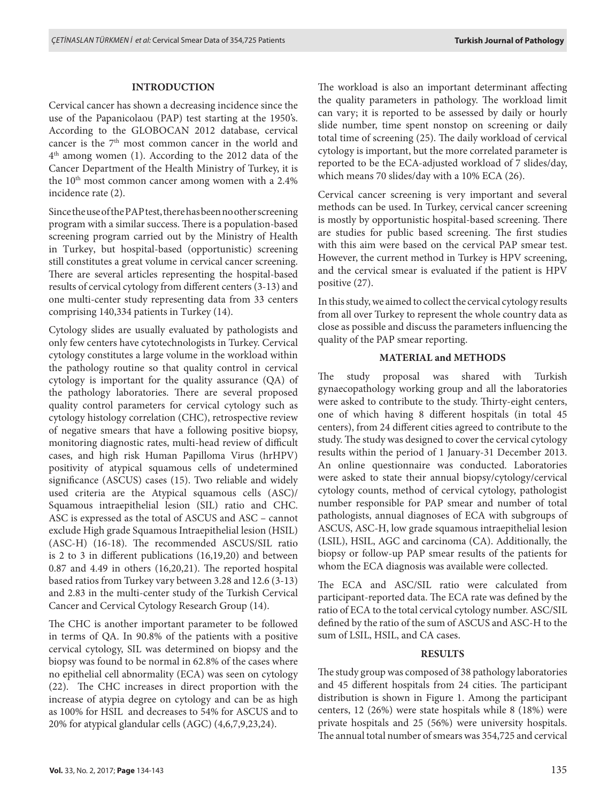# **INTRODUCTION**

Cervical cancer has shown a decreasing incidence since the use of the Papanicolaou (PAP) test starting at the 1950's. According to the GLOBOCAN 2012 database, cervical cancer is the 7<sup>th</sup> most common cancer in the world and 4th among women (1). According to the 2012 data of the Cancer Department of the Health Ministry of Turkey, it is the 10<sup>th</sup> most common cancer among women with a 2.4% incidence rate (2).

Since the use of the PAP test, there has been no other screening program with a similar success. There is a population-based screening program carried out by the Ministry of Health in Turkey, but hospital-based (opportunistic) screening still constitutes a great volume in cervical cancer screening. There are several articles representing the hospital-based results of cervical cytology from different centers (3-13) and one multi-center study representing data from 33 centers comprising 140,334 patients in Turkey (14).

Cytology slides are usually evaluated by pathologists and only few centers have cytotechnologists in Turkey. Cervical cytology constitutes a large volume in the workload within the pathology routine so that quality control in cervical cytology is important for the quality assurance (QA) of the pathology laboratories. There are several proposed quality control parameters for cervical cytology such as cytology histology correlation (CHC), retrospective review of negative smears that have a following positive biopsy, monitoring diagnostic rates, multi-head review of difficult cases, and high risk Human Papilloma Virus (hrHPV) positivity of atypical squamous cells of undetermined significance (ASCUS) cases (15). Two reliable and widely used criteria are the Atypical squamous cells (ASC)/ Squamous intraepithelial lesion (SIL) ratio and CHC. ASC is expressed as the total of ASCUS and ASC – cannot exclude High grade Squamous Intraepithelial lesion (HSIL) (ASC-H) (16-18). The recommended ASCUS/SIL ratio is 2 to 3 in different publications (16,19,20) and between 0.87 and 4.49 in others (16,20,21). The reported hospital based ratios from Turkey vary between 3.28 and 12.6 (3-13) and 2.83 in the multi-center study of the Turkish Cervical Cancer and Cervical Cytology Research Group (14).

The CHC is another important parameter to be followed in terms of QA. In 90.8% of the patients with a positive cervical cytology, SIL was determined on biopsy and the biopsy was found to be normal in 62.8% of the cases where no epithelial cell abnormality (ECA) was seen on cytology (22). The CHC increases in direct proportion with the increase of atypia degree on cytology and can be as high as 100% for HSIL and decreases to 54% for ASCUS and to 20% for atypical glandular cells (AGC) (4,6,7,9,23,24).

The workload is also an important determinant affecting the quality parameters in pathology. The workload limit can vary; it is reported to be assessed by daily or hourly slide number, time spent nonstop on screening or daily total time of screening (25). The daily workload of cervical cytology is important, but the more correlated parameter is reported to be the ECA-adjusted workload of 7 slides/day, which means 70 slides/day with a 10% ECA (26).

Cervical cancer screening is very important and several methods can be used. In Turkey, cervical cancer screening is mostly by opportunistic hospital-based screening. There are studies for public based screening. The first studies with this aim were based on the cervical PAP smear test. However, the current method in Turkey is HPV screening, and the cervical smear is evaluated if the patient is HPV positive (27).

In this study, we aimed to collect the cervical cytology results from all over Turkey to represent the whole country data as close as possible and discuss the parameters influencing the quality of the PAP smear reporting.

#### **MATERIAL and METHODS**

The study proposal was shared with Turkish gynaecopathology working group and all the laboratories were asked to contribute to the study. Thirty-eight centers, one of which having 8 different hospitals (in total 45 centers), from 24 different cities agreed to contribute to the study. The study was designed to cover the cervical cytology results within the period of 1 January-31 December 2013. An online questionnaire was conducted. Laboratories were asked to state their annual biopsy/cytology/cervical cytology counts, method of cervical cytology, pathologist number responsible for PAP smear and number of total pathologists, annual diagnoses of ECA with subgroups of ASCUS, ASC-H, low grade squamous intraepithelial lesion (LSIL), HSIL, AGC and carcinoma (CA). Additionally, the biopsy or follow-up PAP smear results of the patients for whom the ECA diagnosis was available were collected.

The ECA and ASC/SIL ratio were calculated from participant-reported data. The ECA rate was defined by the ratio of ECA to the total cervical cytology number. ASC/SIL defined by the ratio of the sum of ASCUS and ASC-H to the sum of LSIL, HSIL, and CA cases.

# **RESULTS**

The study group was composed of 38 pathology laboratories and 45 different hospitals from 24 cities. The participant distribution is shown in Figure 1. Among the participant centers, 12 (26%) were state hospitals while 8 (18%) were private hospitals and 25 (56%) were university hospitals. The annual total number of smears was 354,725 and cervical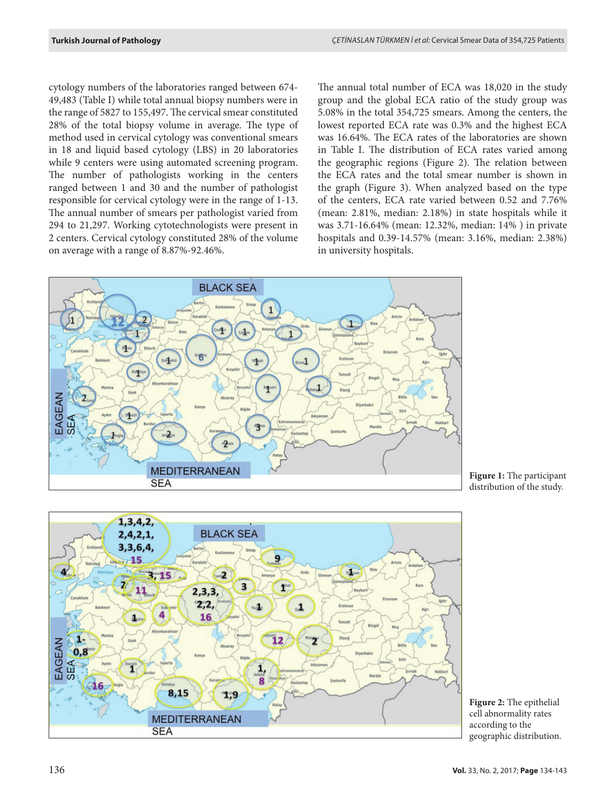cytology numbers of the laboratories ranged between 674- 49,483 (Table I) while total annual biopsy numbers were in the range of 5827 to 155,497. The cervical smear constituted 28% of the total biopsy volume in average. The type of method used in cervical cytology was conventional smears in 18 and liquid based cytology (LBS) in 20 laboratories while 9 centers were using automated screening program. The number of pathologists working in the centers ranged between 1 and 30 and the number of pathologist responsible for cervical cytology were in the range of 1-13. The annual number of smears per pathologist varied from 294 to 21,297. Working cytotechnologists were present in 2 centers. Cervical cytology constituted 28% of the volume on average with a range of 8.87%-92.46%.

The annual total number of ECA was 18,020 in the study group and the global ECA ratio of the study group was 5.08% in the total 354,725 smears. Among the centers, the lowest reported ECA rate was 0.3% and the highest ECA was 16.64%. The ECA rates of the laboratories are shown in Table I. The distribution of ECA rates varied among the geographic regions (Figure 2). The relation between the ECA rates and the total smear number is shown in the graph (Figure 3). When analyzed based on the type of the centers, ECA rate varied between 0.52 and 7.76% (mean: 2.81%, median: 2.18%) in state hospitals while it was 3.71-16.64% (mean: 12.32%, median: 14% ) in private hospitals and 0.39-14.57% (mean: 3.16%, median: 2.38%) in university hospitals.



**Figure 1:** The participant distribution of the study.



**Figure 2:** The epithelial cell abnormality rates according to the geographic distribution.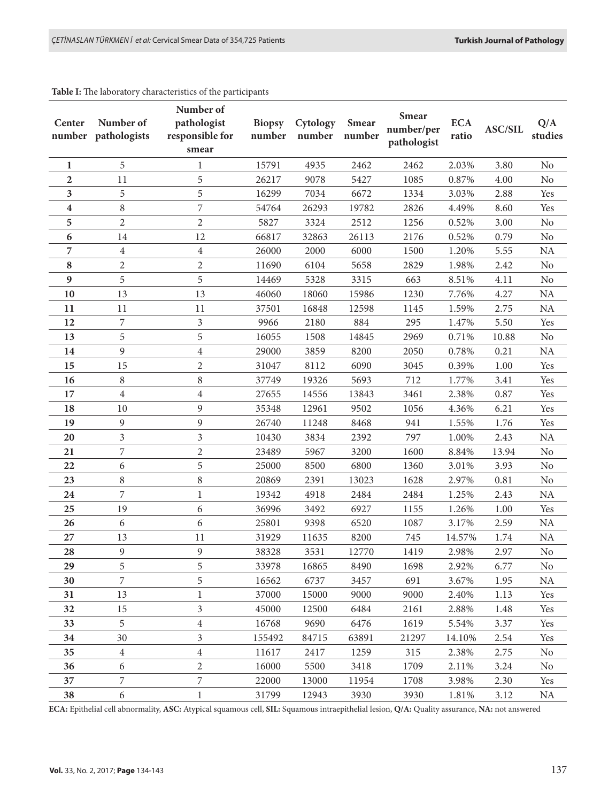#### **Table I:** The laboratory characteristics of the participants

| Center<br>number | Number of<br>pathologists | Number of<br>pathologist<br>responsible for<br>smear | <b>Biopsy</b><br>number | Cytology<br>number | <b>Smear</b><br>number | <b>Smear</b><br>number/per<br>pathologist | <b>ECA</b><br>ratio | <b>ASC/SIL</b> | Q/A<br>studies |
|------------------|---------------------------|------------------------------------------------------|-------------------------|--------------------|------------------------|-------------------------------------------|---------------------|----------------|----------------|
| 1                | 5                         | 1                                                    | 15791                   | 4935               | 2462                   | 2462                                      | 2.03%               | 3.80           | No             |
| $\mathbf{2}$     | 11                        | 5                                                    | 26217                   | 9078               | 5427                   | 1085                                      | 0.87%               | 4.00           | N <sub>o</sub> |
| 3                | 5                         | 5                                                    | 16299                   | 7034               | 6672                   | 1334                                      | 3.03%               | 2.88           | Yes            |
| 4                | $\, 8$                    | 7                                                    | 54764                   | 26293              | 19782                  | 2826                                      | 4.49%               | 8.60           | Yes            |
| 5                | $\mathbf{2}$              | $\overline{c}$                                       | 5827                    | 3324               | 2512                   | 1256                                      | 0.52%               | 3.00           | N <sub>o</sub> |
| 6                | 14                        | 12                                                   | 66817                   | 32863              | 26113                  | 2176                                      | 0.52%               | 0.79           | No             |
| 7                | 4                         | 4                                                    | 26000                   | 2000               | 6000                   | 1500                                      | 1.20%               | 5.55           | <b>NA</b>      |
| 8                | 2                         | 2                                                    | 11690                   | 6104               | 5658                   | 2829                                      | 1.98%               | 2.42           | $\rm No$       |
| 9                | 5                         | 5                                                    | 14469                   | 5328               | 3315                   | 663                                       | 8.51%               | 4.11           | No             |
| 10               | 13                        | 13                                                   | 46060                   | 18060              | 15986                  | 1230                                      | 7.76%               | 4.27           | NA             |
| 11               | 11                        | 11                                                   | 37501                   | 16848              | 12598                  | 1145                                      | 1.59%               | 2.75           | NA             |
| 12               | 7                         | $\overline{3}$                                       | 9966                    | 2180               | 884                    | 295                                       | 1.47%               | 5.50           | Yes            |
| 13               | 5                         | 5                                                    | 16055                   | 1508               | 14845                  | 2969                                      | 0.71%               | 10.88          | No             |
| 14               | 9                         | $\overline{\mathbf{4}}$                              | 29000                   | 3859               | 8200                   | 2050                                      | 0.78%               | 0.21           | <b>NA</b>      |
| 15               | 15                        | $\overline{c}$                                       | 31047                   | 8112               | 6090                   | 3045                                      | 0.39%               | 1.00           | Yes            |
| 16               | $\,8\,$                   | 8                                                    | 37749                   | 19326              | 5693                   | 712                                       | 1.77%               | 3.41           | Yes            |
| 17               | $\overline{4}$            | $\overline{\mathbf{4}}$                              | 27655                   | 14556              | 13843                  | 3461                                      | 2.38%               | 0.87           | Yes            |
| 18               | 10                        | 9                                                    | 35348                   | 12961              | 9502                   | 1056                                      | 4.36%               | 6.21           | Yes            |
| 19               | 9                         | 9                                                    | 26740                   | 11248              | 8468                   | 941                                       | 1.55%               | 1.76           | Yes            |
| 20               | 3                         | 3                                                    | 10430                   | 3834               | 2392                   | 797                                       | 1.00%               | 2.43           | <b>NA</b>      |
| 21               | 7                         | 2                                                    | 23489                   | 5967               | 3200                   | 1600                                      | 8.84%               | 13.94          | No             |
| 22               | 6                         | 5                                                    | 25000                   | 8500               | 6800                   | 1360                                      | 3.01%               | 3.93           | N <sub>o</sub> |
| 23               | 8                         | 8                                                    | 20869                   | 2391               | 13023                  | 1628                                      | 2.97%               | 0.81           | N <sub>o</sub> |
| 24               | 7                         | 1                                                    | 19342                   | 4918               | 2484                   | 2484                                      | 1.25%               | 2.43           | <b>NA</b>      |
| 25               | 19                        | 6                                                    | 36996                   | 3492               | 6927                   | 1155                                      | 1.26%               | 1.00           | Yes            |
| 26               | 6                         | 6                                                    | 25801                   | 9398               | 6520                   | 1087                                      | 3.17%               | 2.59           | <b>NA</b>      |
| 27               | 13                        | 11                                                   | 31929                   | 11635              | 8200                   | 745                                       | 14.57%              | 1.74           | <b>NA</b>      |
| 28               | 9                         | 9                                                    | 38328                   | 3531               | 12770                  | 1419                                      | 2.98%               | 2.97           | No             |
| 29               | 5                         | 5                                                    | 33978                   | 16865              | 8490                   | 1698                                      | 2.92%               | 6.77           | No             |
| 30               | 7                         | 5                                                    | 16562                   | 6737               | 3457                   | 691                                       | 3.67%               | 1.95           | <b>NA</b>      |
| 31               | 13                        | 1                                                    | 37000                   | 15000              | 9000                   | 9000                                      | 2.40%               | 1.13           | Yes            |
| 32               | 15                        | $\overline{3}$                                       | 45000                   | 12500              | 6484                   | 2161                                      | 2.88%               | 1.48           | Yes            |
| 33               | 5                         | $\overline{4}$                                       | 16768                   | 9690               | 6476                   | 1619                                      | 5.54%               | 3.37           | Yes            |
| 34               | 30                        | 3                                                    | 155492                  | 84715              | 63891                  | 21297                                     | 14.10%              | 2.54           | Yes            |
| 35               | $\overline{4}$            | $\overline{4}$                                       | 11617                   | 2417               | 1259                   | 315                                       | 2.38%               | 2.75           | No             |
| 36               | 6                         | $\overline{2}$                                       | 16000                   | 5500               | 3418                   | 1709                                      | 2.11%               | 3.24           | N <sub>0</sub> |
| 37               | 7                         | 7                                                    | 22000                   | 13000              | 11954                  | 1708                                      | 3.98%               | 2.30           | Yes            |
| 38               | 6                         | $\mathbf{1}$                                         | 31799                   | 12943              | 3930                   | 3930                                      | 1.81%               | 3.12           | <b>NA</b>      |

**ECA:** Epithelial cell abnormality, **ASC:** Atypical squamous cell, **SIL:** Squamous intraepithelial lesion, **Q/A:** Quality assurance, **NA:** not answered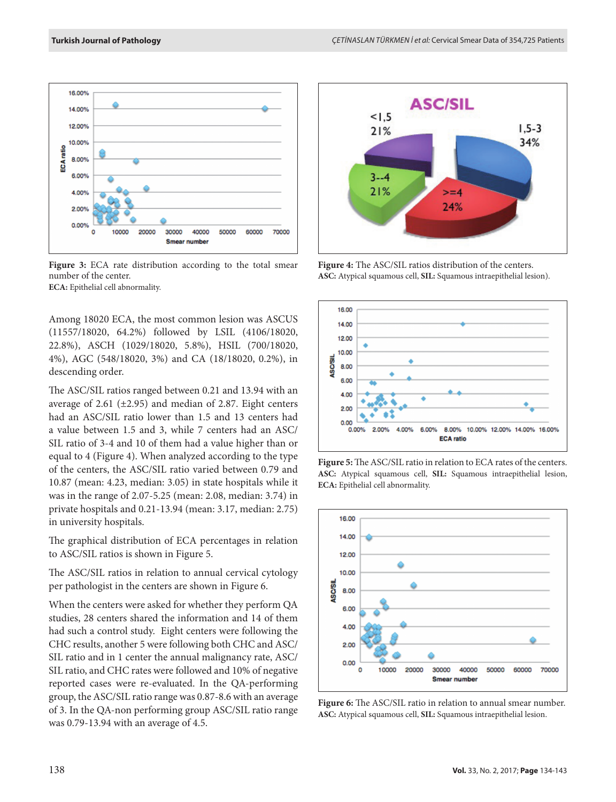

**Figure 3:** ECA rate distribution according to the total smear number of the center. **ECA:** Epithelial cell abnormality.

Among 18020 ECA, the most common lesion was ASCUS (11557/18020, 64.2%) followed by LSIL (4106/18020, 22.8%), ASCH (1029/18020, 5.8%), HSIL (700/18020, 4%), AGC (548/18020, 3%) and CA (18/18020, 0.2%), in descending order.

The ASC/SIL ratios ranged between 0.21 and 13.94 with an average of 2.61 ( $\pm$ 2.95) and median of 2.87. Eight centers had an ASC/SIL ratio lower than 1.5 and 13 centers had a value between 1.5 and 3, while 7 centers had an ASC/ SIL ratio of 3-4 and 10 of them had a value higher than or equal to 4 (Figure 4). When analyzed according to the type of the centers, the ASC/SIL ratio varied between 0.79 and 10.87 (mean: 4.23, median: 3.05) in state hospitals while it was in the range of 2.07-5.25 (mean: 2.08, median: 3.74) in private hospitals and 0.21-13.94 (mean: 3.17, median: 2.75) in university hospitals.

The graphical distribution of ECA percentages in relation to ASC/SIL ratios is shown in Figure 5.

The ASC/SIL ratios in relation to annual cervical cytology per pathologist in the centers are shown in Figure 6.

When the centers were asked for whether they perform QA studies, 28 centers shared the information and 14 of them had such a control study. Eight centers were following the CHC results, another 5 were following both CHC and ASC/ SIL ratio and in 1 center the annual malignancy rate, ASC/ SIL ratio, and CHC rates were followed and 10% of negative reported cases were re-evaluated. In the QA-performing group, the ASC/SIL ratio range was 0.87-8.6 with an average of 3. In the QA-non performing group ASC/SIL ratio range was 0.79-13.94 with an average of 4.5.



**Figure 4:** The ASC/SIL ratios distribution of the centers. **ASC:** Atypical squamous cell, **SIL:** Squamous intraepithelial lesion).



**Figure 5:** The ASC/SIL ratio in relation to ECA rates of the centers. **ASC:** Atypical squamous cell, **SIL:** Squamous intraepithelial lesion, **ECA:** Epithelial cell abnormality.



Figure 6: The ASC/SIL ratio in relation to annual smear number. **ASC:** Atypical squamous cell, **SIL:** Squamous intraepithelial lesion.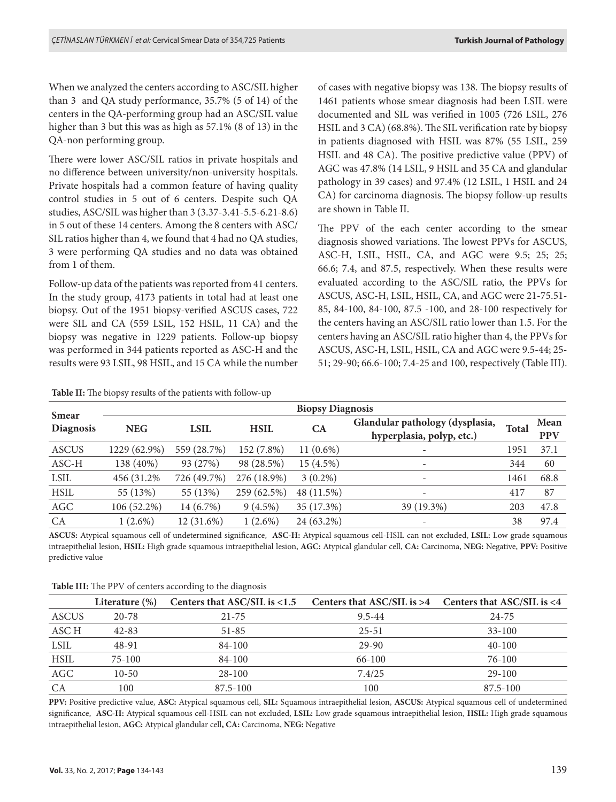When we analyzed the centers according to ASC/SIL higher than 3 and QA study performance, 35.7% (5 of 14) of the centers in the QA-performing group had an ASC/SIL value higher than 3 but this was as high as 57.1% (8 of 13) in the QA-non performing group.

There were lower ASC/SIL ratios in private hospitals and no difference between university/non-university hospitals. Private hospitals had a common feature of having quality control studies in 5 out of 6 centers. Despite such QA studies, ASC/SIL was higher than 3 (3.37-3.41-5.5-6.21-8.6) in 5 out of these 14 centers. Among the 8 centers with ASC/ SIL ratios higher than 4, we found that 4 had no QA studies, 3 were performing QA studies and no data was obtained from 1 of them.

Follow-up data of the patients was reported from 41 centers. In the study group, 4173 patients in total had at least one biopsy. Out of the 1951 biopsy-verified ASCUS cases, 722 were SIL and CA (559 LSIL, 152 HSIL, 11 CA) and the biopsy was negative in 1229 patients. Follow-up biopsy was performed in 344 patients reported as ASC-H and the results were 93 LSIL, 98 HSIL, and 15 CA while the number

of cases with negative biopsy was 138. The biopsy results of 1461 patients whose smear diagnosis had been LSIL were documented and SIL was verified in 1005 (726 LSIL, 276 HSIL and 3 CA) (68.8%). The SIL verification rate by biopsy in patients diagnosed with HSIL was 87% (55 LSIL, 259 HSIL and 48 CA). The positive predictive value (PPV) of AGC was 47.8% (14 LSIL, 9 HSIL and 35 CA and glandular pathology in 39 cases) and 97.4% (12 LSIL, 1 HSIL and 24 CA) for carcinoma diagnosis. The biopsy follow-up results are shown in Table II.

The PPV of the each center according to the smear diagnosis showed variations. The lowest PPVs for ASCUS, ASC-H, LSIL, HSIL, CA, and AGC were 9.5; 25; 25; 66.6; 7.4, and 87.5, respectively. When these results were evaluated according to the ASC/SIL ratio, the PPVs for ASCUS, ASC-H, LSIL, HSIL, CA, and AGC were 21-75.51- 85, 84-100, 84-100, 87.5 -100, and 28-100 respectively for the centers having an ASC/SIL ratio lower than 1.5. For the centers having an ASC/SIL ratio higher than 4, the PPVs for ASCUS, ASC-H, LSIL, HSIL, CA and AGC were 9.5-44; 25- 51; 29-90; 66.6-100; 7.4-25 and 100, respectively (Table III).

| <b>Smear</b>     | <b>Biopsy Diagnosis</b> |             |             |             |                                                              |              |                    |  |  |
|------------------|-------------------------|-------------|-------------|-------------|--------------------------------------------------------------|--------------|--------------------|--|--|
| <b>Diagnosis</b> | <b>NEG</b>              | <b>LSIL</b> | <b>HSIL</b> | CA          | Glandular pathology (dysplasia,<br>hyperplasia, polyp, etc.) | <b>Total</b> | Mean<br><b>PPV</b> |  |  |
| <b>ASCUS</b>     | 1229 (62.9%)            | 559 (28.7%) | 152 (7.8%)  | $11(0.6\%)$ | $\overline{\phantom{a}}$                                     | 1951         | 37.1               |  |  |
| ASC-H            | 138 (40%)               | 93 (27%)    | 98 (28.5%)  | 15 (4.5%)   | $\overline{\phantom{a}}$                                     | 344          | 60                 |  |  |
| <b>LSIL</b>      | 456 (31.2%)             | 726 (49.7%) | 276 (18.9%) | $3(0.2\%)$  | $\overline{\phantom{a}}$                                     | 1461         | 68.8               |  |  |
| <b>HSIL</b>      | 55 (13%)                | 55 (13%)    | 259 (62.5%) | 48 (11.5%)  | ٠                                                            | 417          | 87                 |  |  |
| AGC              | 106 (52.2%)             | 14 (6.7%)   | $9(4.5\%)$  | 35 (17.3%)  | 39 (19.3%)                                                   | 203          | 47.8               |  |  |
| CA               | $1(2.6\%)$              | 12 (31.6%)  | $1(2.6\%)$  | 24 (63.2%)  |                                                              | 38           | 97.4               |  |  |

**Table II:** The biopsy results of the patients with follow-up

**ASCUS:** Atypical squamous cell of undetermined significance, **ASC-H:** Atypical squamous cell-HSIL can not excluded, **LSIL:** Low grade squamous intraepithelial lesion, **HSIL:** High grade squamous intraepithelial lesion, **AGC:** Atypical glandular cell, **CA:** Carcinoma, **NEG:** Negative, **PPV:** Positive predictive value

**Table III:** The PPV of centers according to the diagnosis

|             | Literature $(\%)$ | Centers that ASC/SIL is <1.5 Centers that ASC/SIL is >4 Centers that ASC/SIL is <4 |            |            |
|-------------|-------------------|------------------------------------------------------------------------------------|------------|------------|
| ASCUS       | $20 - 78$         | $21 - 75$                                                                          | $9.5 - 44$ | 24-75      |
| ASC H       | $42 - 83$         | $51 - 85$                                                                          | $25 - 51$  | $33 - 100$ |
| <b>LSIL</b> | 48-91             | $84 - 100$                                                                         | 29-90      | $40 - 100$ |
| <b>HSIL</b> | 75-100            | $84 - 100$                                                                         | 66-100     | 76-100     |
| AGC         | $10 - 50$         | $28 - 100$                                                                         | 7.4/25     | $29-100$   |
| CA          | 100               | $87.5 - 100$                                                                       | 100        | 87.5-100   |

**PPV:** Positive predictive value, **ASC:** Atypical squamous cell, **SIL:** Squamous intraepithelial lesion, **ASCUS:** Atypical squamous cell of undetermined significance, **ASC-H:** Atypical squamous cell-HSIL can not excluded, **LSIL:** Low grade squamous intraepithelial lesion, **HSIL:** High grade squamous intraepithelial lesion, **AGC:** Atypical glandular cell**, CA:** Carcinoma, **NEG:** Negative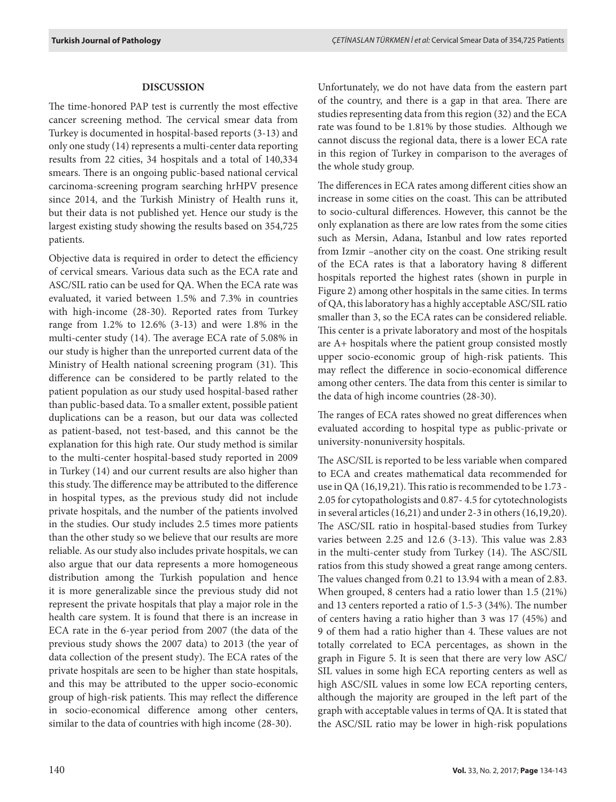# **DISCUSSION**

The time-honored PAP test is currently the most effective cancer screening method. The cervical smear data from Turkey is documented in hospital-based reports (3-13) and only one study (14) represents a multi-center data reporting results from 22 cities, 34 hospitals and a total of 140,334 smears. There is an ongoing public-based national cervical carcinoma-screening program searching hrHPV presence since 2014, and the Turkish Ministry of Health runs it, but their data is not published yet. Hence our study is the largest existing study showing the results based on 354,725 patients.

Objective data is required in order to detect the efficiency of cervical smears. Various data such as the ECA rate and ASC/SIL ratio can be used for QA. When the ECA rate was evaluated, it varied between 1.5% and 7.3% in countries with high-income (28-30). Reported rates from Turkey range from 1.2% to 12.6% (3-13) and were 1.8% in the multi-center study (14). The average ECA rate of 5.08% in our study is higher than the unreported current data of the Ministry of Health national screening program (31). This difference can be considered to be partly related to the patient population as our study used hospital-based rather than public-based data. To a smaller extent, possible patient duplications can be a reason, but our data was collected as patient-based, not test-based, and this cannot be the explanation for this high rate. Our study method is similar to the multi-center hospital-based study reported in 2009 in Turkey (14) and our current results are also higher than this study. The difference may be attributed to the difference in hospital types, as the previous study did not include private hospitals, and the number of the patients involved in the studies. Our study includes 2.5 times more patients than the other study so we believe that our results are more reliable. As our study also includes private hospitals, we can also argue that our data represents a more homogeneous distribution among the Turkish population and hence it is more generalizable since the previous study did not represent the private hospitals that play a major role in the health care system. It is found that there is an increase in ECA rate in the 6-year period from 2007 (the data of the previous study shows the 2007 data) to 2013 (the year of data collection of the present study). The ECA rates of the private hospitals are seen to be higher than state hospitals, and this may be attributed to the upper socio-economic group of high-risk patients. This may reflect the difference in socio-economical difference among other centers, similar to the data of countries with high income (28-30).

Unfortunately, we do not have data from the eastern part of the country, and there is a gap in that area. There are studies representing data from this region (32) and the ECA rate was found to be 1.81% by those studies. Although we cannot discuss the regional data, there is a lower ECA rate in this region of Turkey in comparison to the averages of the whole study group.

The differences in ECA rates among different cities show an increase in some cities on the coast. This can be attributed to socio-cultural differences. However, this cannot be the only explanation as there are low rates from the some cities such as Mersin, Adana, Istanbul and low rates reported from Izmir –another city on the coast. One striking result of the ECA rates is that a laboratory having 8 different hospitals reported the highest rates (shown in purple in Figure 2) among other hospitals in the same cities. In terms of QA, this laboratory has a highly acceptable ASC/SIL ratio smaller than 3, so the ECA rates can be considered reliable. This center is a private laboratory and most of the hospitals are A+ hospitals where the patient group consisted mostly upper socio-economic group of high-risk patients. This may reflect the difference in socio-economical difference among other centers. The data from this center is similar to the data of high income countries (28-30).

The ranges of ECA rates showed no great differences when evaluated according to hospital type as public-private or university-nonuniversity hospitals.

The ASC/SIL is reported to be less variable when compared to ECA and creates mathematical data recommended for use in QA (16,19,21). This ratio is recommended to be 1.73 - 2.05 for cytopathologists and 0.87- 4.5 for cytotechnologists in several articles (16,21) and under 2-3 in others (16,19,20). The ASC/SIL ratio in hospital-based studies from Turkey varies between 2.25 and 12.6 (3-13). This value was 2.83 in the multi-center study from Turkey (14). The ASC/SIL ratios from this study showed a great range among centers. The values changed from 0.21 to 13.94 with a mean of 2.83. When grouped, 8 centers had a ratio lower than 1.5 (21%) and 13 centers reported a ratio of 1.5-3 (34%). The number of centers having a ratio higher than 3 was 17 (45%) and 9 of them had a ratio higher than 4. These values are not totally correlated to ECA percentages, as shown in the graph in Figure 5. It is seen that there are very low ASC/ SIL values in some high ECA reporting centers as well as high ASC/SIL values in some low ECA reporting centers, although the majority are grouped in the left part of the graph with acceptable values in terms of QA. It is stated that the ASC/SIL ratio may be lower in high-risk populations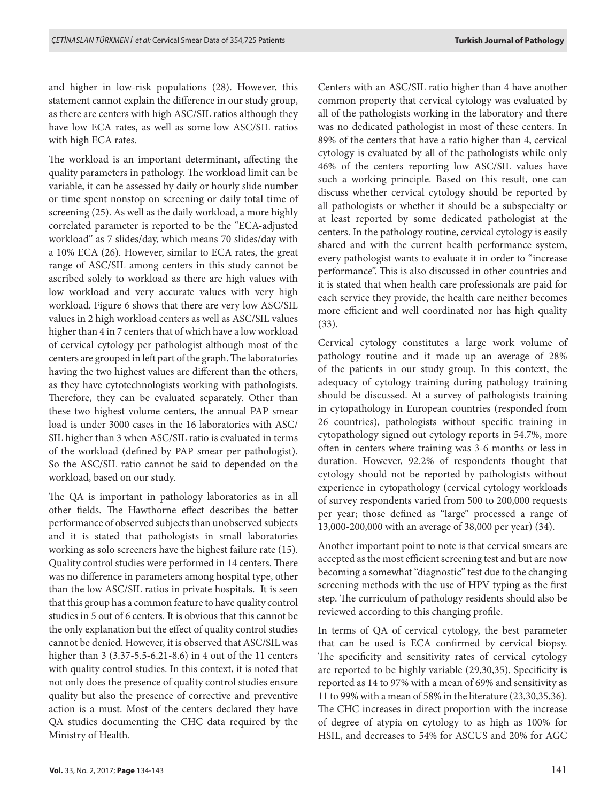and higher in low-risk populations (28). However, this statement cannot explain the difference in our study group, as there are centers with high ASC/SIL ratios although they have low ECA rates, as well as some low ASC/SIL ratios with high ECA rates.

The workload is an important determinant, affecting the quality parameters in pathology. The workload limit can be variable, it can be assessed by daily or hourly slide number or time spent nonstop on screening or daily total time of screening (25). As well as the daily workload, a more highly correlated parameter is reported to be the "ECA-adjusted workload" as 7 slides/day, which means 70 slides/day with a 10% ECA (26). However, similar to ECA rates, the great range of ASC/SIL among centers in this study cannot be ascribed solely to workload as there are high values with low workload and very accurate values with very high workload. Figure 6 shows that there are very low ASC/SIL values in 2 high workload centers as well as ASC/SIL values higher than 4 in 7 centers that of which have a low workload of cervical cytology per pathologist although most of the centers are grouped in left part of the graph. The laboratories having the two highest values are different than the others, as they have cytotechnologists working with pathologists. Therefore, they can be evaluated separately. Other than these two highest volume centers, the annual PAP smear load is under 3000 cases in the 16 laboratories with ASC/ SIL higher than 3 when ASC/SIL ratio is evaluated in terms of the workload (defined by PAP smear per pathologist). So the ASC/SIL ratio cannot be said to depended on the workload, based on our study.

The QA is important in pathology laboratories as in all other fields. The Hawthorne effect describes the better performance of observed subjects than unobserved subjects and it is stated that pathologists in small laboratories working as solo screeners have the highest failure rate (15). Quality control studies were performed in 14 centers. There was no difference in parameters among hospital type, other than the low ASC/SIL ratios in private hospitals. It is seen that this group has a common feature to have quality control studies in 5 out of 6 centers. It is obvious that this cannot be the only explanation but the effect of quality control studies cannot be denied. However, it is observed that ASC/SIL was higher than 3 (3.37-5.5-6.21-8.6) in 4 out of the 11 centers with quality control studies. In this context, it is noted that not only does the presence of quality control studies ensure quality but also the presence of corrective and preventive action is a must. Most of the centers declared they have QA studies documenting the CHC data required by the Ministry of Health.

Centers with an ASC/SIL ratio higher than 4 have another common property that cervical cytology was evaluated by all of the pathologists working in the laboratory and there was no dedicated pathologist in most of these centers. In 89% of the centers that have a ratio higher than 4, cervical cytology is evaluated by all of the pathologists while only 46% of the centers reporting low ASC/SIL values have such a working principle. Based on this result, one can discuss whether cervical cytology should be reported by all pathologists or whether it should be a subspecialty or at least reported by some dedicated pathologist at the centers. In the pathology routine, cervical cytology is easily shared and with the current health performance system, every pathologist wants to evaluate it in order to "increase performance". This is also discussed in other countries and it is stated that when health care professionals are paid for each service they provide, the health care neither becomes more efficient and well coordinated nor has high quality (33).

Cervical cytology constitutes a large work volume of pathology routine and it made up an average of 28% of the patients in our study group. In this context, the adequacy of cytology training during pathology training should be discussed. At a survey of pathologists training in cytopathology in European countries (responded from 26 countries), pathologists without specific training in cytopathology signed out cytology reports in 54.7%, more often in centers where training was 3-6 months or less in duration. However, 92.2% of respondents thought that cytology should not be reported by pathologists without experience in cytopathology (cervical cytology workloads of survey respondents varied from 500 to 200,000 requests per year; those defined as "large" processed a range of 13,000-200,000 with an average of 38,000 per year) (34).

Another important point to note is that cervical smears are accepted as the most efficient screening test and but are now becoming a somewhat "diagnostic" test due to the changing screening methods with the use of HPV typing as the first step. The curriculum of pathology residents should also be reviewed according to this changing profile.

In terms of QA of cervical cytology, the best parameter that can be used is ECA confirmed by cervical biopsy. The specificity and sensitivity rates of cervical cytology are reported to be highly variable (29,30,35). Specificity is reported as 14 to 97% with a mean of 69% and sensitivity as 11 to 99% with a mean of 58% in the literature (23,30,35,36). The CHC increases in direct proportion with the increase of degree of atypia on cytology to as high as 100% for HSIL, and decreases to 54% for ASCUS and 20% for AGC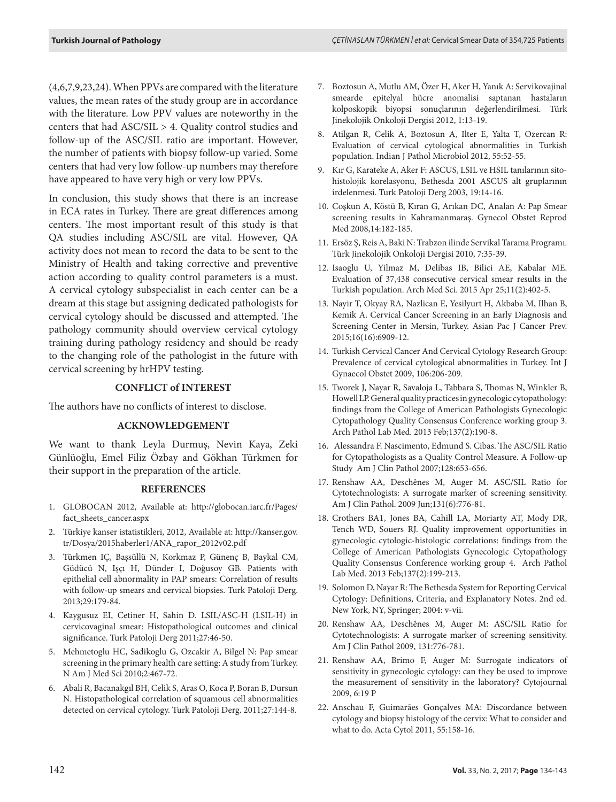(4,6,7,9,23,24). When PPVs are compared with the literature values, the mean rates of the study group are in accordance with the literature. Low PPV values are noteworthy in the centers that had ASC/SIL > 4. Quality control studies and follow-up of the ASC/SIL ratio are important. However, the number of patients with biopsy follow-up varied. Some centers that had very low follow-up numbers may therefore have appeared to have very high or very low PPVs.

In conclusion, this study shows that there is an increase in ECA rates in Turkey. There are great differences among centers. The most important result of this study is that QA studies including ASC/SIL are vital. However, QA activity does not mean to record the data to be sent to the Ministry of Health and taking corrective and preventive action according to quality control parameters is a must. A cervical cytology subspecialist in each center can be a dream at this stage but assigning dedicated pathologists for cervical cytology should be discussed and attempted. The pathology community should overview cervical cytology training during pathology residency and should be ready to the changing role of the pathologist in the future with cervical screening by hrHPV testing.

# **CONFLICT of INTEREST**

The authors have no conflicts of interest to disclose.

### **ACKNOWLEDGEMENT**

We want to thank Leyla Durmuş, Nevin Kaya, Zeki Günlüoğlu, Emel Filiz Özbay and Gökhan Türkmen for their support in the preparation of the article.

#### **REFERENCES**

- 1. GLOBOCAN 2012, Available at: http://globocan.iarc.fr/Pages/ fact\_sheets\_cancer.aspx
- 2. Türkiye kanser istatistikleri, 2012, Available at: http://kanser.gov. tr/Dosya/2015haberler1/ANA\_rapor\_2012v02.pdf
- 3. Türkmen IÇ, Başsüllü N, Korkmaz P, Günenç B, Baykal CM, Güdücü N, Işçı H, Dünder I, Doğusoy GB. Patients with epithelial cell abnormality in PAP smears: Correlation of results with follow-up smears and cervical biopsies. Turk Patoloji Derg. 2013;29:179-84.
- 4. Kaygusuz EI, Cetiner H, Sahin D. LSIL/ASC-H (LSIL-H) in cervicovaginal smear: Histopathological outcomes and clinical significance. Turk Patoloji Derg 2011;27:46-50.
- 5. Mehmetoglu HC, Sadikoglu G, Ozcakir A, Bilgel N: Pap smear screening in the primary health care setting: A study from Turkey. N Am J Med Sci 2010;2:467-72.
- 6. Abali R, Bacanakgıl BH, Celik S, Aras O, Koca P, Boran B, Dursun N. Histopathological correlation of squamous cell abnormalities detected on cervical cytology. Turk Patoloji Derg. 2011;27:144-8.
- 7. Boztosun A, Mutlu AM, Özer H, Aker H, Yanık A: Servikovajinal smearde epitelyal hücre anomalisi saptanan hastaların kolposkopik biyopsi sonuçlarının değerlendirilmesi. Türk Jinekolojik Onkoloji Dergisi 2012, 1:13-19.
- 8. Atilgan R, Celik A, Boztosun A, Ilter E, Yalta T, Ozercan R: Evaluation of cervical cytological abnormalities in Turkish population. Indian J Pathol Microbiol 2012, 55:52-55.
- 9. Kır G, Karateke A, Aker F: ASCUS, LSIL ve HSIL tanılarının sitohistolojik korelasyonu, Bethesda 2001 ASCUS alt gruplarının irdelenmesi. Turk Patoloji Derg 2003, 19:14-16.
- 10. Coşkun A, Köstü B, Kıran G, Arıkan DC, Analan A: Pap Smear screening results in Kahramanmaraş. Gynecol Obstet Reprod Med 2008,14:182-185.
- 11. Ersöz Ş, Reis A, Baki N: Trabzon ilinde Servikal Tarama Programı. Türk Jinekolojik Onkoloji Dergisi 2010, 7:35-39.
- 12. Isaoglu U, Yilmaz M, Delibas IB, Bilici AE, Kabalar ME. Evaluation of 37,438 consecutive cervical smear results in the Turkish population. Arch Med Sci. 2015 Apr 25;11(2):402-5.
- 13. Nayir T, Okyay RA, Nazlican E, Yesilyurt H, Akbaba M, Ilhan B, Kemik A. Cervical Cancer Screening in an Early Diagnosis and Screening Center in Mersin, Turkey. Asian Pac J Cancer Prev. 2015;16(16):6909-12.
- 14. Turkish Cervical Cancer And Cervical Cytology Research Group: Prevalence of cervical cytological abnormalities in Turkey. Int J Gynaecol Obstet 2009, 106:206-209.
- 15. Tworek J, Nayar R, Savaloja L, Tabbara S, Thomas N, Winkler B, Howell LP. General quality practices in gynecologic cytopathology: findings from the College of American Pathologists Gynecologic Cytopathology Quality Consensus Conference working group 3. Arch Pathol Lab Med. 2013 Feb;137(2):190-8.
- 16. Alessandra F. Nascimento, Edmund S. Cibas. The ASC/SIL Ratio for Cytopathologists as a Quality Control Measure. A Follow-up Study Am J Clin Pathol 2007;128:653-656.
- 17. Renshaw AA, Deschênes M, Auger M. ASC/SIL Ratio for Cytotechnologists: A surrogate marker of screening sensitivity. Am J Clin Pathol. 2009 Jun;131(6):776-81.
- 18. Crothers BA1, Jones BA, Cahill LA, Moriarty AT, Mody DR, Tench WD, Souers RJ. Quality improvement opportunities in gynecologic cytologic-histologic correlations: findings from the College of American Pathologists Gynecologic Cytopathology Quality Consensus Conference working group 4. Arch Pathol Lab Med. 2013 Feb;137(2):199-213.
- 19. Solomon D, Nayar R: The Bethesda System for Reporting Cervical Cytology: Definitions, Criteria, and Explanatory Notes. 2nd ed. New York, NY, Springer; 2004: v-vii.
- 20. Renshaw AA, Deschênes M, Auger M: ASC/SIL Ratio for Cytotechnologists: A surrogate marker of screening sensitivity. Am J Clin Pathol 2009, 131:776-781.
- 21. Renshaw AA, Brimo F, Auger M: Surrogate indicators of sensitivity in gynecologic cytology: can they be used to improve the measurement of sensitivity in the laboratory? Cytojournal 2009, 6:19 P
- 22. Anschau F, Guimarães Gonçalves MA: Discordance between cytology and biopsy histology of the cervix: What to consider and what to do. Acta Cytol 2011, 55:158-16.